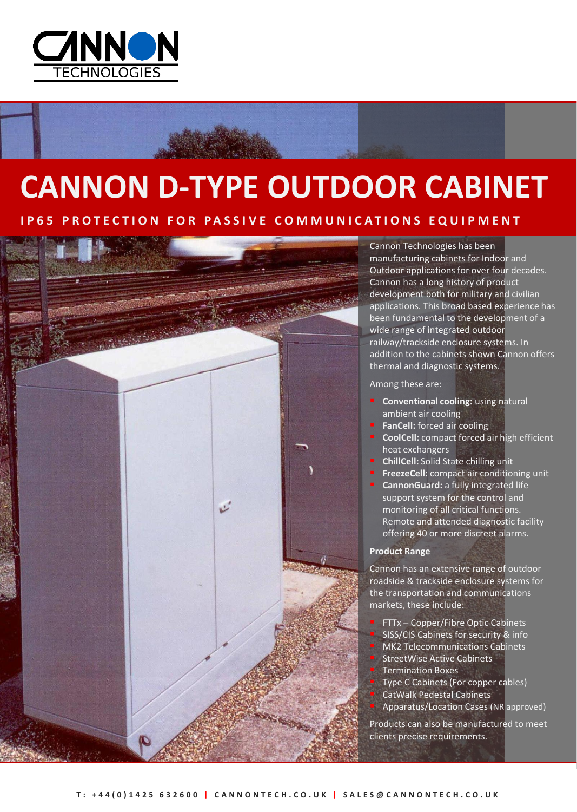

# **CANNON D-TYPE OUTDOOR CABINET**

## **PROTECTION FOR PASSIVE COMMUNICATIONS EQUIPMENT**



Cannon Technologies has been manufacturing cabinets for Indoor and Outdoor applications for over four decades. Cannon has a long history of product development both for military and civilian applications. This broad based experience has been fundamental to the development of a wide range of integrated outdoor railway/trackside enclosure systems. In addition to the cabinets shown Cannon offers thermal and diagnostic systems.

Among these are:

- **Conventional cooling:** using natural ambient air cooling
- **FanCell:** forced air cooling
- **CoolCell:** compact forced air high efficient heat exchangers
- **ChillCell:** Solid State chilling unit
- **FreezeCell:** compact air conditioning unit
- **CannonGuard:** a fully integrated life support system for the control and monitoring of all critical functions. Remote and attended diagnostic facility offering 40 or more discreet alarms.

## **Product Range**

Cannon has an extensive range of outdoor roadside & trackside enclosure systems for the transportation and communications markets, these include:

- FTTx Copper/Fibre Optic Cabinets
- SISS/CIS Cabinets for security & info
- MK2 Telecommunications Cabinets
- StreetWise Active Cabinets
- Termination Boxes
- Type C Cabinets (For copper cables)
- CatWalk Pedestal Cabinets
- Apparatus/Location Cases (NR approved)

Products can also be manufactured to meet clients precise requirements.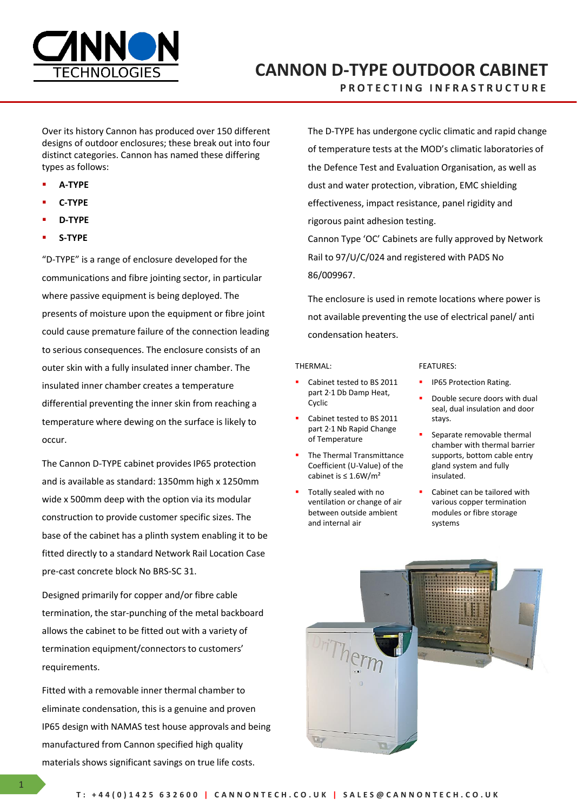

## **CANNON D-TYPE OUTDOOR CABINET**

**P R O T E C T I N G I N F R A S T R U C T U R E**

Over its history Cannon has produced over 150 different designs of outdoor enclosures; these break out into four distinct categories. Cannon has named these differing types as follows:

- **A-TYPE**
- **C-TYPE**
- **D-TYPE**
- **S-TYPE**

"D-TYPE" is a range of enclosure developed for the communications and fibre jointing sector, in particular where passive equipment is being deployed. The presents of moisture upon the equipment or fibre joint could cause premature failure of the connection leading to serious consequences. The enclosure consists of an outer skin with a fully insulated inner chamber. The insulated inner chamber creates a temperature differential preventing the inner skin from reaching a temperature where dewing on the surface is likely to occur.

The Cannon D-TYPE cabinet provides IP65 protection and is available as standard: 1350mm high x 1250mm wide x 500mm deep with the option via its modular construction to provide customer specific sizes. The base of the cabinet has a plinth system enabling it to be fitted directly to a standard Network Rail Location Case pre-cast concrete block No BRS-SC 31.

Designed primarily for copper and/or fibre cable termination, the star-punching of the metal backboard allows the cabinet to be fitted out with a variety of termination equipment/connectors to customers' requirements.

Fitted with a removable inner thermal chamber to eliminate condensation, this is a genuine and proven IP65 design with NAMAS test house approvals and being manufactured from Cannon specified high quality materials shows significant savings on true life costs.

The D-TYPE has undergone cyclic climatic and rapid change of temperature tests at the MOD's climatic laboratories of the Defence Test and Evaluation Organisation, as well as dust and water protection, vibration, EMC shielding effectiveness, impact resistance, panel rigidity and rigorous paint adhesion testing.

Cannon Type 'OC' Cabinets are fully approved by Network Rail to 97/U/C/024 and registered with PADS No 86/009967.

The enclosure is used in remote locations where power is not available preventing the use of electrical panel/ anti condensation heaters.

#### THERMAL:

- Cabinet tested to BS 2011 part 2·1 Db Damp Heat, Cyclic
- Cabinet tested to BS 2011 part 2·1 Nb Rapid Change of Temperature
- The Thermal Transmittance Coefficient (U-Value) of the cabinet is ≤ 1.6W/m²
- Totally sealed with no ventilation or change of air between outside ambient and internal air

#### FEATURES:

- **IP65 Protection Rating.**
- Double secure doors with dual seal, dual insulation and door stays.
- Separate removable thermal chamber with thermal barrier supports, bottom cable entry gland system and fully insulated.
- Cabinet can be tailored with various copper termination modules or fibre storage systems

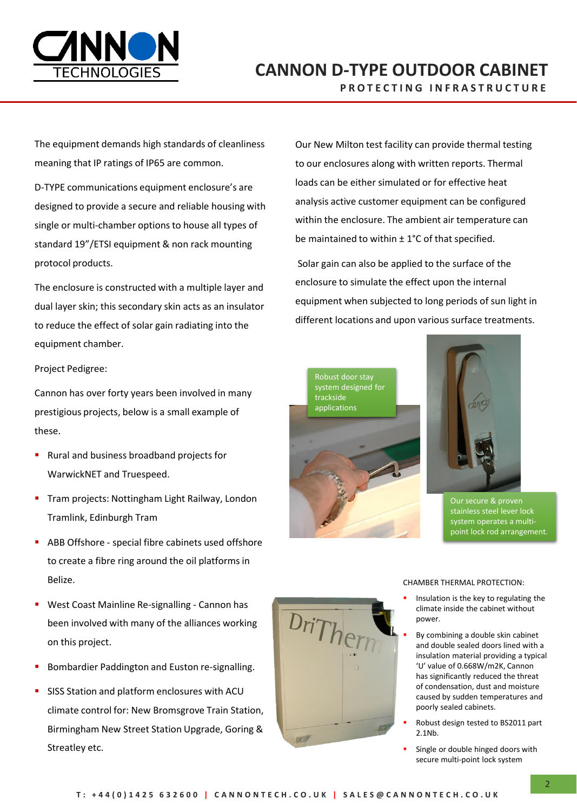

## **CANNON D-TYPE OUTDOOR CABINET P R O T E C T I N G I N F R A S T R U C T U R E**

The equipment demands high standards of cleanliness meaning that IP ratings of IP65 are common.

D-TYPE communications equipment enclosure's are designed to provide a secure and reliable housing with single or multi-chamber options to house all types of standard 19"/ETSI equipment & non rack mounting protocol products.

The enclosure is constructed with a multiple layer and dual layer skin; this secondary skin acts as an insulator to reduce the effect of solar gain radiating into the equipment chamber.

Project Pedigree:

Cannon has over forty years been involved in many prestigious projects, below is a small example of these.

- Rural and business broadband projects for WarwickNET and Truespeed.
- **Tram projects: Nottingham Light Railway, London** Tramlink, Edinburgh Tram
- **ABB Offshore special fibre cabinets used offshore** to create a fibre ring around the oil platforms in Belize.
- West Coast Mainline Re-signalling Cannon has been involved with many of the alliances working on this project.
- Bombardier Paddington and Euston re-signalling.
- SISS Station and platform enclosures with ACU climate control for: New Bromsgrove Train Station, Birmingham New Street Station Upgrade, Goring & Streatley etc.

Our New Milton test facility can provide thermal testing to our enclosures along with written reports. Thermal loads can be either simulated or for effective heat analysis active customer equipment can be configured within the enclosure. The ambient air temperature can be maintained to within  $\pm$  1°C of that specified.

Solar gain can also be applied to the surface of the enclosure to simulate the effect upon the internal equipment when subjected to long periods of sun light in different locations and upon various surface treatments.



 ${}^{i}Th_{\rm Pl}$ 



Our secure & proven stainless steel lever lock system operates a multipoint lock rod arrangement.

#### CHAMBER THERMAL PROTECTION:

- Insulation is the key to regulating the climate inside the cabinet without power.
- By combining a double skin cabinet and double sealed doors lined with a insulation material providing a typical 'U' value of 0.668W/m2K, Cannon has significantly reduced the threat of condensation, dust and moisture caused by sudden temperatures and poorly sealed cabinets.
- Robust design tested to BS2011 part 2.1Nb.
- Single or double hinged doors with secure multi-point lock system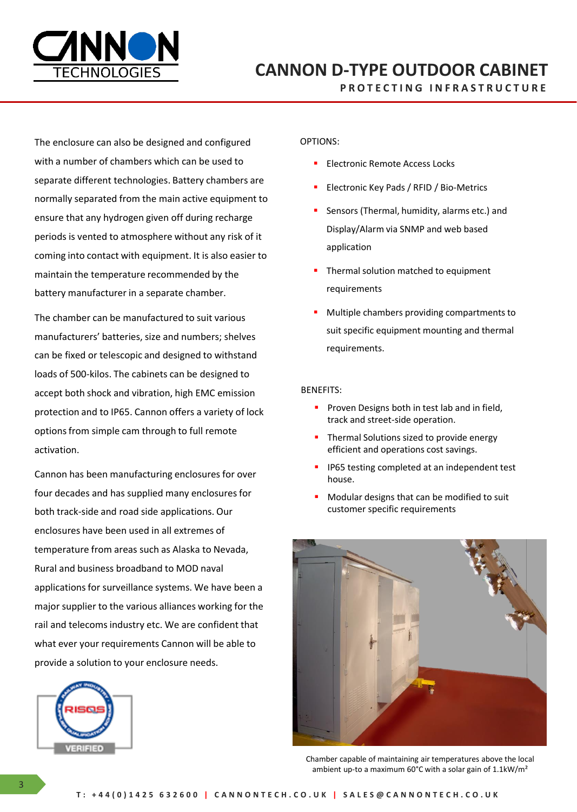

**P R O T E C T I N G I N F R A S T R U C T U R E**

The enclosure can also be designed and configured with a number of chambers which can be used to separate different technologies. Battery chambers are normally separated from the main active equipment to ensure that any hydrogen given off during recharge periods is vented to atmosphere without any risk of it coming into contact with equipment. It is also easier to maintain the temperature recommended by the battery manufacturer in a separate chamber.

The chamber can be manufactured to suit various manufacturers' batteries, size and numbers; shelves can be fixed or telescopic and designed to withstand loads of 500-kilos. The cabinets can be designed to accept both shock and vibration, high EMC emission protection and to IP65. Cannon offers a variety of lock options from simple cam through to full remote activation.

Cannon has been manufacturing enclosures for over four decades and has supplied many enclosures for both track-side and road side applications. Our enclosures have been used in all extremes of temperature from areas such as Alaska to Nevada, Rural and business broadband to MOD naval applications for surveillance systems. We have been a major supplier to the various alliances working for the rail and telecoms industry etc. We are confident that what ever your requirements Cannon will be able to provide a solution to your enclosure needs.



## OPTIONS:

- Electronic Remote Access Locks
- Electronic Key Pads / RFID / Bio-Metrics
- Sensors (Thermal, humidity, alarms etc.) and Display/Alarm via SNMP and web based application
- **Thermal solution matched to equipment** requirements
- **Multiple chambers providing compartments to** suit specific equipment mounting and thermal requirements.

### BENEFITS:

- **Proven Designs both in test lab and in field,** track and street-side operation.
- **Thermal Solutions sized to provide energy** efficient and operations cost savings.
- **IP65** testing completed at an independent test house.
- Modular designs that can be modified to suit customer specific requirements



Chamber capable of maintaining air temperatures above the local ambient up-to a maximum 60°C with a solar gain of 1.1kW/m²